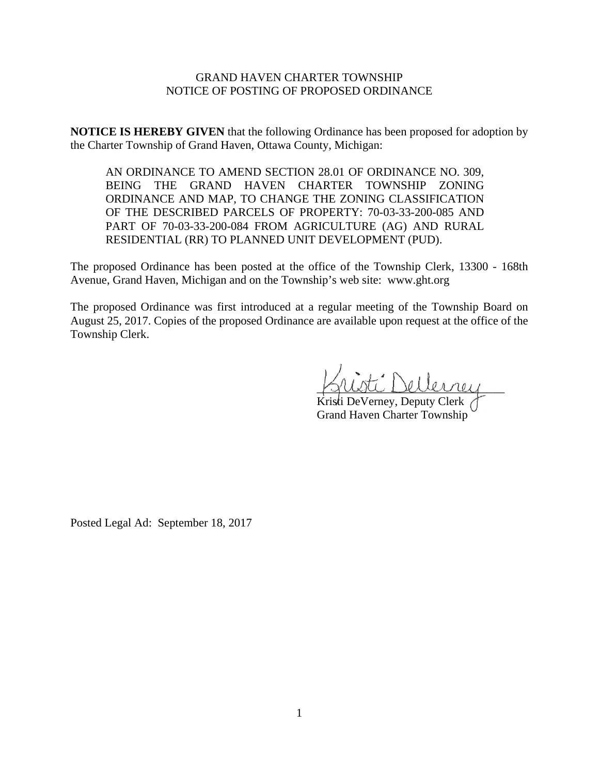## GRAND HAVEN CHARTER TOWNSHIP NOTICE OF POSTING OF PROPOSED ORDINANCE

**NOTICE IS HEREBY GIVEN** that the following Ordinance has been proposed for adoption by the Charter Township of Grand Haven, Ottawa County, Michigan:

AN ORDINANCE TO AMEND SECTION 28.01 OF ORDINANCE NO. 309, BEING THE GRAND HAVEN CHARTER TOWNSHIP ZONING ORDINANCE AND MAP, TO CHANGE THE ZONING CLASSIFICATION OF THE DESCRIBED PARCELS OF PROPERTY: 70-03-33-200-085 AND PART OF 70-03-33-200-084 FROM AGRICULTURE (AG) AND RURAL RESIDENTIAL (RR) TO PLANNED UNIT DEVELOPMENT (PUD).

The proposed Ordinance has been posted at the office of the Township Clerk, 13300 - 168th Avenue, Grand Haven, Michigan and on the Township's web site: www.ght.org

The proposed Ordinance was first introduced at a regular meeting of the Township Board on August 25, 2017. Copies of the proposed Ordinance are available upon request at the office of the Township Clerk.

ti Dellernen

Kristi DeVerney, Deputy Clerk ( Grand Haven Charter Township

Posted Legal Ad: September 18, 2017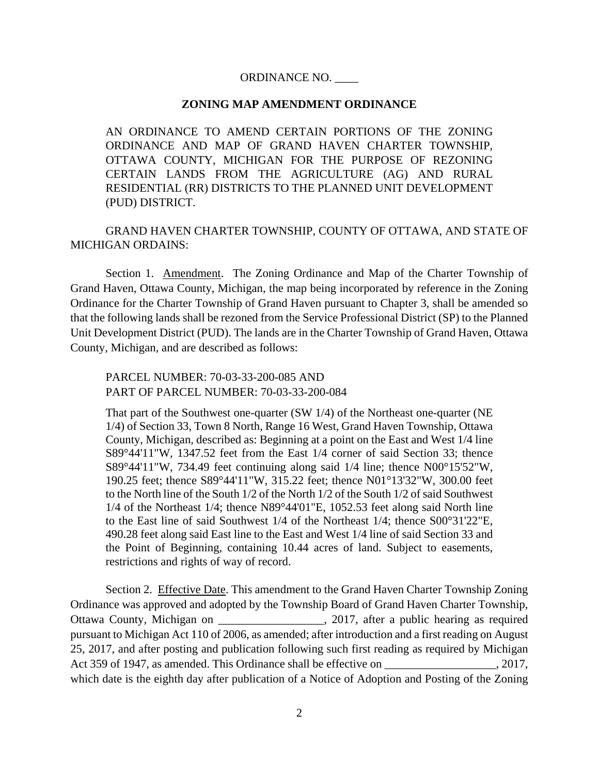## ORDINANCE NO. \_\_\_\_

## **ZONING MAP AMENDMENT ORDINANCE**

AN ORDINANCE TO AMEND CERTAIN PORTIONS OF THE ZONING ORDINANCE AND MAP OF GRAND HAVEN CHARTER TOWNSHIP, OTTAWA COUNTY, MICHIGAN FOR THE PURPOSE OF REZONING CERTAIN LANDS FROM THE AGRICULTURE (AG) AND RURAL RESIDENTIAL (RR) DISTRICTS TO THE PLANNED UNIT DEVELOPMENT (PUD) DISTRICT.

GRAND HAVEN CHARTER TOWNSHIP, COUNTY OF OTTAWA, AND STATE OF MICHIGAN ORDAINS:

Section 1. Amendment. The Zoning Ordinance and Map of the Charter Township of Grand Haven, Ottawa County, Michigan, the map being incorporated by reference in the Zoning Ordinance for the Charter Township of Grand Haven pursuant to Chapter 3, shall be amended so that the following lands shall be rezoned from the Service Professional District (SP) to the Planned Unit Development District (PUD). The lands are in the Charter Township of Grand Haven, Ottawa County, Michigan, and are described as follows:

PARCEL NUMBER: 70-03-33-200-085 AND PART OF PARCEL NUMBER: 70-03-33-200-084

That part of the Southwest one-quarter (SW 1/4) of the Northeast one-quarter (NE 1/4) of Section 33, Town 8 North, Range 16 West, Grand Haven Township, Ottawa County, Michigan, described as: Beginning at a point on the East and West 1/4 line S89°44'11"W, 1347.52 feet from the East 1/4 corner of said Section 33; thence S89°44'11"W, 734.49 feet continuing along said 1/4 line; thence N00°15'52"W, 190.25 feet; thence S89°44'11"W, 315.22 feet; thence N01°13'32"W, 300.00 feet to the North line of the South 1/2 of the North 1/2 of the South 1/2 of said Southwest 1/4 of the Northeast 1/4; thence N89°44'01"E, 1052.53 feet along said North line to the East line of said Southwest 1/4 of the Northeast 1/4; thence S00°31'22"E, 490.28 feet along said East line to the East and West 1/4 line of said Section 33 and the Point of Beginning, containing 10.44 acres of land. Subject to easements, restrictions and rights of way of record.

Section 2. Effective Date. This amendment to the Grand Haven Charter Township Zoning Ordinance was approved and adopted by the Township Board of Grand Haven Charter Township, Ottawa County, Michigan on 2017, after a public hearing as required pursuant to Michigan Act 110 of 2006, as amended; after introduction and a first reading on August 25, 2017, and after posting and publication following such first reading as required by Michigan Act 359 of 1947, as amended. This Ordinance shall be effective on \_\_\_\_\_\_\_\_\_\_\_\_\_\_\_\_, 2017, which date is the eighth day after publication of a Notice of Adoption and Posting of the Zoning